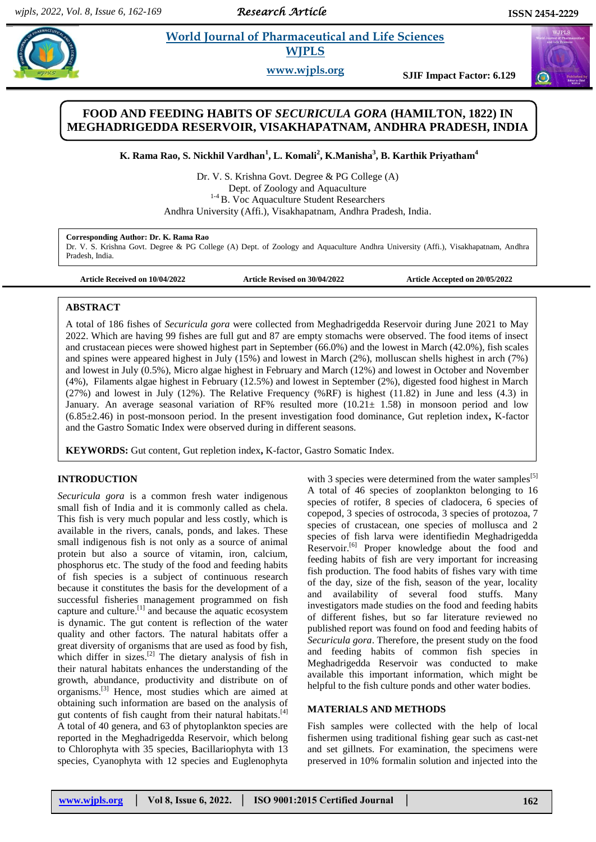*Research Article* 

# **Paramaceutical and Life Sciences WJPLS**

**www.wjpls.org SJIF Impact Factor: 6.129**

# **FOOD AND FEEDING HABITS OF** *SECURICULA GORA* **(HAMILTON, 1822) IN MEGHADRIGEDDA RESERVOIR, VISAKHAPATNAM, ANDHRA PRADESH, INDIA**

**K. Rama Rao, S. Nickhil Vardhan<sup>1</sup> , L. Komali<sup>2</sup> , K.Manisha<sup>3</sup> , B. Karthik Priyatham<sup>4</sup>**

Dr. V. S. Krishna Govt. Degree & PG College (A) Dept. of Zoology and Aquaculture <sup>1-4</sup> B. Voc Aquaculture Student Researchers Andhra University (Affi.), Visakhapatnam, Andhra Pradesh, India.

#### **Corresponding Author: Dr. K. Rama Rao**

Dr. V. S. Krishna Govt. Degree & PG College (A) Dept. of Zoology and Aquaculture Andhra University (Affi.), Visakhapatnam, Andhra Pradesh, India.

**Article Received on 10/04/2022 Article Revised on 30/04/2022 Article Accepted on 20/05/2022**

#### **ABSTRACT**

A total of 186 fishes of *Securicula gora* were collected from Meghadrigedda Reservoir during June 2021 to May 2022. Which are having 99 fishes are full gut and 87 are empty stomachs were observed. The food items of insect and crustacean pieces were showed highest part in September (66.0%) and the lowest in March (42.0%), fish scales and spines were appeared highest in July (15%) and lowest in March (2%), molluscan shells highest in arch (7%) and lowest in July (0.5%), Micro algae highest in February and March (12%) and lowest in October and November (4%), Filaments algae highest in February (12.5%) and lowest in September (2%), digested food highest in March (27%) and lowest in July (12%). The Relative Frequency (%RF) is highest (11.82) in June and less (4.3) in January. An average seasonal variation of RF% resulted more  $(10.21 \pm 1.58)$  in monsoon period and low (6.85±2.46) in post-monsoon period. In the present investigation food dominance, Gut repletion index**,** K-factor and the Gastro Somatic Index were observed during in different seasons.

**KEYWORDS:** Gut content, Gut repletion index**,** K-factor, Gastro Somatic Index.

#### **INTRODUCTION**

*Securicula gora* is a common fresh water indigenous small fish of India and it is commonly called as chela. This fish is very much popular and less costly, which is available in the rivers, canals, ponds, and lakes. These small indigenous fish is not only as a source of animal protein but also a source of vitamin, iron, calcium, phosphorus etc. The study of the food and feeding habits of fish species is a subject of continuous research because it constitutes the basis for the development of a successful fisheries management programmed on fish capture and culture.<sup>[1]</sup> and because the aquatic ecosystem is dynamic. The gut content is reflection of the water quality and other factors. The natural habitats offer a great diversity of organisms that are used as food by fish, which differ in sizes.<sup>[2]</sup> The dietary analysis of fish in their natural habitats enhances the understanding of the growth, abundance, productivity and distribute on of organisms.<sup>[3]</sup> Hence, most studies which are aimed at obtaining such information are based on the analysis of gut contents of fish caught from their natural habitats.<sup>[4]</sup> A total of 40 genera, and 63 of phytoplankton species are reported in the Meghadrigedda Reservoir, which belong to Chlorophyta with 35 species, Bacillariophyta with 13 species, Cyanophyta with 12 species and Euglenophyta

with 3 species were determined from the water samples<sup>[5]</sup> A total of 46 species of zooplankton belonging to 16 species of rotifer, 8 species of cladocera, 6 species of copepod, 3 species of ostrocoda, 3 species of protozoa, 7 species of crustacean, one species of mollusca and 2 species of fish larva were identifiedin Meghadrigedda Reservoir.<sup>[6]</sup> Proper knowledge about the food and feeding habits of fish are very important for increasing fish production. The food habits of fishes vary with time of the day, size of the fish, season of the year, locality and availability of several food stuffs. Many investigators made studies on the food and feeding habits of different fishes, but so far literature reviewed no published report was found on food and feeding habits of *Securicula gora*. Therefore, the present study on the food and feeding habits of common fish species in Meghadrigedda Reservoir was conducted to make available this important information, which might be helpful to the fish culture ponds and other water bodies.

#### **MATERIALS AND METHODS**

Fish samples were collected with the help of local fishermen using traditional fishing gear such as cast-net and set gillnets. For examination, the specimens were preserved in 10% formalin solution and injected into the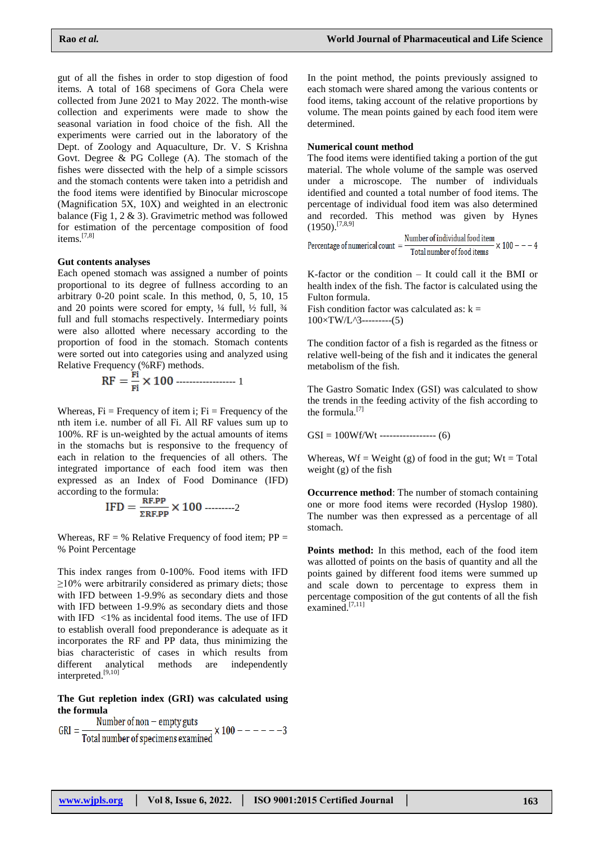gut of all the fishes in order to stop digestion of food items. A total of 168 specimens of Gora Chela were collected from June 2021 to May 2022. The month-wise collection and experiments were made to show the seasonal variation in food choice of the fish. All the experiments were carried out in the laboratory of the Dept. of Zoology and Aquaculture, Dr. V. S Krishna Govt. Degree & PG College (A). The stomach of the fishes were dissected with the help of a simple scissors and the stomach contents were taken into a petridish and the food items were identified by Binocular microscope (Magnification 5X, 10X) and weighted in an electronic balance (Fig 1, 2 & 3). Gravimetric method was followed for estimation of the percentage composition of food items.<sup>[7,8]</sup>

#### **Gut contents analyses**

Each opened stomach was assigned a number of points proportional to its degree of fullness according to an arbitrary 0-20 point scale. In this method, 0, 5, 10, 15 and 20 points were scored for empty, ¼ full, ½ full, ¾ full and full stomachs respectively. Intermediary points were also allotted where necessary according to the proportion of food in the stomach. Stomach contents were sorted out into categories using and analyzed using Relative Frequency (%RF) methods.

$$
RF = \frac{Fi}{Fi} \times 100
$$

Whereas,  $Fi = Frequency$  of item i;  $Fi = Frequency$  of the nth item i.e. number of all Fi. All RF values sum up to 100%. RF is un-weighted by the actual amounts of items in the stomachs but is responsive to the frequency of each in relation to the frequencies of all others. The integrated importance of each food item was then expressed as an Index of Food Dominance (IFD) according to the formula:

$$
IFD = \frac{RF.PP}{\Sigma RF.PP} \times 100 \ \dots \dots \dots 2
$$

Whereas,  $RF = \%$  Relative Frequency of food item;  $PP =$ % Point Percentage

This index ranges from 0-100%. Food items with IFD  $\geq$ 10% were arbitrarily considered as primary diets; those with IFD between 1-9.9% as secondary diets and those with IFD between 1-9.9% as secondary diets and those with IFD  $\langle 1\%$  as incidental food items. The use of IFD to establish overall food preponderance is adequate as it incorporates the RF and PP data, thus minimizing the bias characteristic of cases in which results from different analytical methods are independently interpreted. [9,10]

**The Gut repletion index (GRI) was calculated using the formula**

$$
GRI = \frac{Number of non-empty guts}{Total number of specimens examined} \times 100 --- --- -3
$$

In the point method, the points previously assigned to each stomach were shared among the various contents or food items, taking account of the relative proportions by volume. The mean points gained by each food item were determined.

#### **Numerical count method**

The food items were identified taking a portion of the gut material. The whole volume of the sample was oserved under a microscope. The number of individuals identified and counted a total number of food items. The percentage of individual food item was also determined and recorded. This method was given by Hynes  $(1950)$ .<sup>[7,8,9]</sup>  $\overline{a}$   $\overline{a}$   $\overline{a}$   $\overline{a}$   $\overline{a}$   $\overline{a}$   $\overline{a}$   $\overline{a}$   $\overline{a}$   $\overline{a}$   $\overline{a}$   $\overline{a}$   $\overline{a}$   $\overline{a}$   $\overline{a}$   $\overline{a}$   $\overline{a}$   $\overline{a}$   $\overline{a}$   $\overline{a}$   $\overline{a}$   $\overline{a}$   $\overline{a}$   $\overline{a}$   $\overline{$ 

Percentage of numerical count = 
$$
\frac{\text{Number of individual food item}}{\text{Total number of food items}} \times 100 --- 4
$$

K-factor or the condition – It could call it the BMI or health index of the fish. The factor is calculated using the Fulton formula.

Fish condition factor was calculated as:  $k =$ 100×TW/L*^*3---------(5)

The condition factor of a fish is regarded as the fitness or relative well-being of the fish and it indicates the general metabolism of the fish.

The Gastro Somatic Index (GSI) was calculated to show the trends in the feeding activity of the fish according to the formula.[7]

 $GSI = 100Wf/Wt$  ----------------- (6)

Whereas,  $Wf = Weight(g)$  of food in the gut;  $Wt = Total$ weight (g) of the fish

**Occurrence method**: The number of stomach containing one or more food items were recorded (Hyslop 1980). The number was then expressed as a percentage of all stomach.

**Points method:** In this method, each of the food item was allotted of points on the basis of quantity and all the points gained by different food items were summed up and scale down to percentage to express them in percentage composition of the gut contents of all the fish examined.<sup>[7,11]</sup>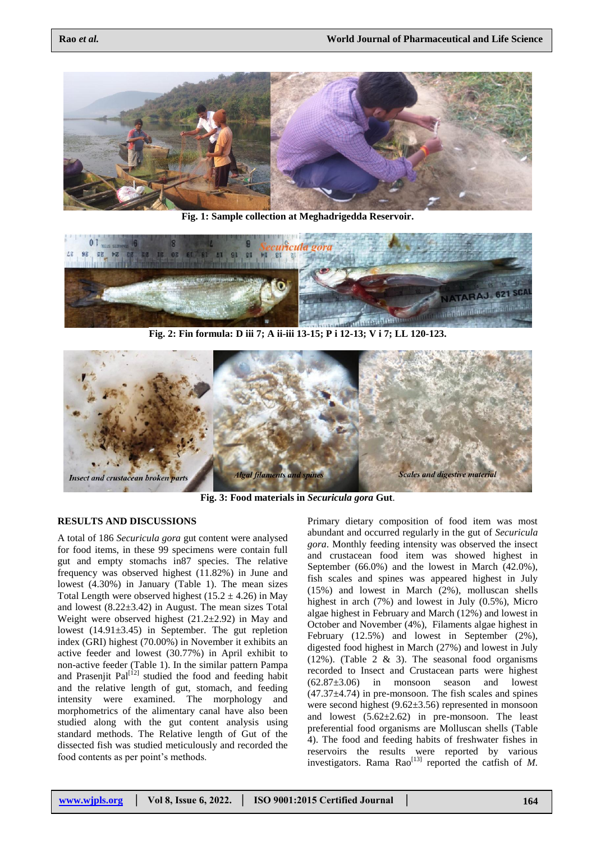

**Fig. 1: Sample collection at Meghadrigedda Reservoir.**



**Fig. 2: Fin formula: D iii 7; A ii-iii 13-15; P i 12-13; V i 7; LL 120-123.**



**Fig. 3: Food materials in** *Securicula gora* **Gut**.

#### **RESULTS AND DISCUSSIONS**

A total of 186 *Securicula gora* gut content were analysed for food items, in these 99 specimens were contain full gut and empty stomachs in87 species. The relative frequency was observed highest (11.82%) in June and lowest (4.30%) in January (Table 1). The mean sizes Total Length were observed highest  $(15.2 \pm 4.26)$  in May and lowest  $(8.22 \pm 3.42)$  in August. The mean sizes Total Weight were observed highest  $(21.2\pm 2.92)$  in May and lowest (14.91±3.45) in September. The gut repletion index (GRI) highest (70.00%) in November it exhibits an active feeder and lowest (30.77%) in April exhibit to non-active feeder (Table 1). In the similar pattern Pampa and Prasenjit Pal<sup>[12]</sup> studied the food and feeding habit and the relative length of gut, stomach, and feeding intensity were examined. The morphology and morphometrics of the alimentary canal have also been studied along with the gut content analysis using standard methods. The Relative length of Gut of the dissected fish was studied meticulously and recorded the food contents as per point's methods.

Primary dietary composition of food item was most abundant and occurred regularly in the gut of *Securicula gora*. Monthly feeding intensity was observed the insect and crustacean food item was showed highest in September (66.0%) and the lowest in March (42.0%), fish scales and spines was appeared highest in July (15%) and lowest in March (2%), molluscan shells highest in arch (7%) and lowest in July (0.5%), Micro algae highest in February and March (12%) and lowest in October and November (4%), Filaments algae highest in February (12.5%) and lowest in September (2%), digested food highest in March (27%) and lowest in July  $(12\%)$ . (Table 2 & 3). The seasonal food organisms recorded to Insect and Crustacean parts were highest  $(62.87\pm3.06)$  in monsoon season and lowest  $(47.37\pm4.74)$  in pre-monsoon. The fish scales and spines were second highest (9.62±3.56) represented in monsoon and lowest (5.62±2.62) in pre-monsoon. The least preferential food organisms are Molluscan shells (Table 4). The food and feeding habits of freshwater fishes in reservoirs the results were reported by various investigators. Rama Rao<sup>[13]</sup> reported the catfish of *M*.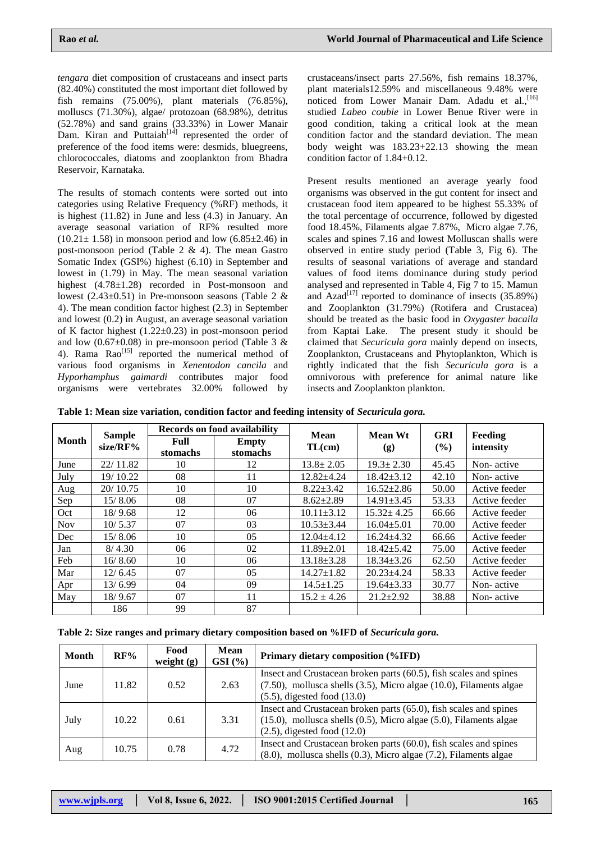*tengara* diet composition of crustaceans and insect parts (82.40%) constituted the most important diet followed by fish remains (75.00%), plant materials (76.85%), molluscs (71.30%), algae/ protozoan (68.98%), detritus (52.78%) and sand grains (33.33%) in Lower Manair Dam. Kiran and Puttaiah<sup> $[14]$ </sup> represented the order of preference of the food items were: desmids, bluegreens, chlorococcales, diatoms and zooplankton from Bhadra Reservoir, Karnataka.

The results of stomach contents were sorted out into categories using Relative Frequency (%RF) methods, it is highest (11.82) in June and less (4.3) in January. An average seasonal variation of RF% resulted more  $(10.21 \pm 1.58)$  in monsoon period and low  $(6.85 \pm 2.46)$  in post-monsoon period (Table 2 & 4). The mean Gastro Somatic Index (GSI%) highest (6.10) in September and lowest in (1.79) in May. The mean seasonal variation highest (4.78±1.28) recorded in Post-monsoon and lowest  $(2.43\pm0.51)$  in Pre-monsoon seasons (Table 2 & 4). The mean condition factor highest (2.3) in September and lowest (0.2) in August, an average seasonal variation of K factor highest  $(1.22 \pm 0.23)$  in post-monsoon period and low  $(0.67\pm0.08)$  in pre-monsoon period (Table 3 & 4). Rama Rao<sup>[15]</sup> reported the numerical method of various food organisms in *Xenentodon cancila* and *Hyporhamphus gaimardi* contributes major food organisms were vertebrates 32.00% followed by

crustaceans/insect parts 27.56%, fish remains 18.37%, plant materials12.59% and miscellaneous 9.48% were noticed from Lower Manair Dam. Adadu et al.<sup>[16]</sup> studied *Labeo coubie* in Lower Benue River were in good condition, taking a critical look at the mean condition factor and the standard deviation. The mean body weight was 183.23+22.13 showing the mean condition factor of 1.84+0.12.

Present results mentioned an average yearly food organisms was observed in the gut content for insect and crustacean food item appeared to be highest 55.33% of the total percentage of occurrence, followed by digested food 18.45%, Filaments algae 7.87%, Micro algae 7.76, scales and spines 7.16 and lowest Molluscan shalls were observed in entire study period (Table 3, Fig 6). The results of seasonal variations of average and standard values of food items dominance during study period analysed and represented in Table 4, Fig 7 to 15. Mamun and Azad<sup>[17]</sup> reported to dominance of insects  $(35.89%)$ and Zooplankton (31.79%) (Rotifera and Crustacea) should be treated as the basic food in *Oxygaster bacaila* from Kaptai Lake. The present study it should be claimed that *Securicula gora* mainly depend on insects, Zooplankton, Crustaceans and Phytoplankton, Which is rightly indicated that the fish *Securicula gora* is a omnivorous with preference for animal nature like insects and Zooplankton plankton.

**Table 1: Mean size variation, condition factor and feeding intensity of** *Securicula gora.*

|            |                              | <b>Records on food availability</b> |                   | Mean             | <b>Mean Wt</b>   | <b>GRI</b> | Feeding       |  |
|------------|------------------------------|-------------------------------------|-------------------|------------------|------------------|------------|---------------|--|
| Month      | <b>Sample</b><br>$size/RF\%$ | Full<br>stomachs                    | Empty<br>stomachs | TL(cm)           | (g)              | $($ %)     | intensity     |  |
| June       | 22/11.82                     | 10                                  | 12                | $13.8 \pm 2.05$  | $19.3 \pm 2.30$  | 45.45      | Non-active    |  |
| July       | 19/10.22                     | 08                                  | 11                | $12.82{\pm}4.24$ | $18.42 \pm 3.12$ | 42.10      | Non-active    |  |
| Aug        | 20/10.75                     | 10                                  | 10                | $8.22 \pm 3.42$  | $16.52 \pm 2.86$ | 50.00      | Active feeder |  |
| Sep        | 15/8.06                      | 08                                  | 07                | $8.62 \pm 2.89$  | $14.91 \pm 3.45$ | 53.33      | Active feeder |  |
| Oct        | 18/9.68                      | 12                                  | 06                | $10.11 \pm 3.12$ | $15.32 \pm 4.25$ | 66.66      | Active feeder |  |
| <b>Nov</b> | 10/5.37                      | 07                                  | 03                | $10.53 \pm 3.44$ | $16.04 \pm 5.01$ | 70.00      | Active feeder |  |
| Dec        | 15/8.06                      | 10                                  | 05                | $12.04 \pm 4.12$ | $16.24 \pm 4.32$ | 66.66      | Active feeder |  |
| Jan        | 8/4.30                       | 06                                  | 02                | $11.89 \pm 2.01$ | $18.42 \pm 5.42$ | 75.00      | Active feeder |  |
| Feb        | 16/8.60                      | 10                                  | 06                | $13.18 \pm 3.28$ | $18.34 \pm 3.26$ | 62.50      | Active feeder |  |
| Mar        | 12/6.45                      | 07                                  | 05                | $14.27 \pm 1.82$ | $20.23 \pm 4.24$ | 58.33      | Active feeder |  |
| Apr        | 13/6.99                      | 04                                  | 09                | $14.5 \pm 1.25$  | $19.64 \pm 3.33$ | 30.77      | Non-active    |  |
| May        | 18/9.67                      | 07                                  | 11                | $15.2 \pm 4.26$  | $21.2 \pm 2.92$  | 38.88      | Non-active    |  |
|            | 186                          | 99                                  | 87                |                  |                  |            |               |  |

| <b>Month</b> | RF%   | Food<br>weight $(g)$ | Mean<br>$GSI$ (%) | Primary dietary composition (%IFD)                                                                                                                                                   |  |
|--------------|-------|----------------------|-------------------|--------------------------------------------------------------------------------------------------------------------------------------------------------------------------------------|--|
| June         | 11.82 | 0.52                 | 2.63              | Insect and Crustacean broken parts (60.5), fish scales and spines<br>$(7.50)$ , mollusca shells $(3.5)$ , Micro algae $(10.0)$ , Filaments algae<br>$(5.5)$ , digested food $(13.0)$ |  |
| July         | 10.22 | 0.61                 | 3.31              | Insect and Crustacean broken parts (65.0), fish scales and spines<br>$(15.0)$ , mollusca shells $(0.5)$ , Micro algae $(5.0)$ , Filaments algae<br>$(2.5)$ , digested food $(12.0)$  |  |
| Aug          | 10.75 | 0.78                 | 4.72              | Insect and Crustacean broken parts (60.0), fish scales and spines<br>$(8.0)$ , mollusca shells $(0.3)$ , Micro algae $(7.2)$ , Filaments algae                                       |  |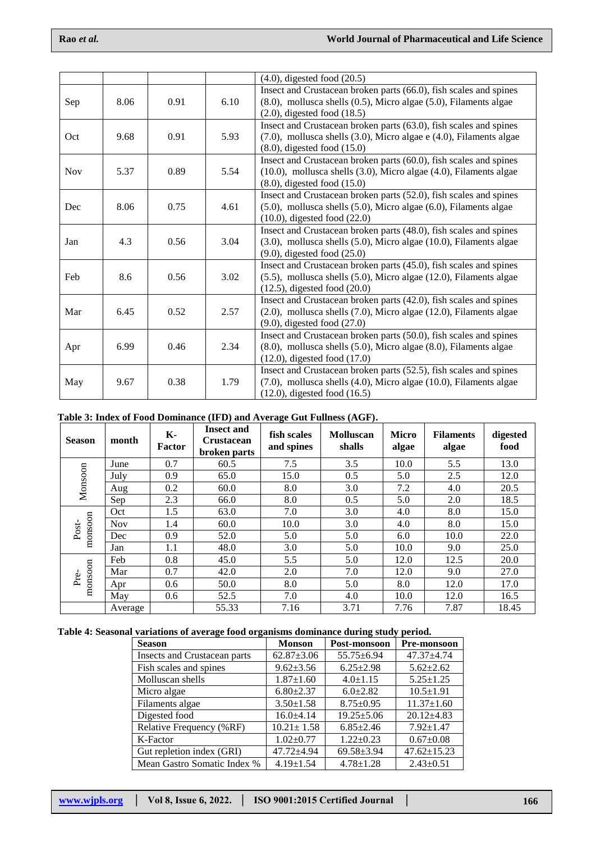|            |      |      |      | $(4.0)$ , digested food $(20.5)$                                           |  |  |
|------------|------|------|------|----------------------------------------------------------------------------|--|--|
|            |      |      |      | Insect and Crustacean broken parts (66.0), fish scales and spines          |  |  |
| Sep        | 8.06 | 0.91 | 6.10 | (8.0), mollusca shells (0.5), Micro algae (5.0), Filaments algae           |  |  |
|            |      |      |      | $(2.0)$ , digested food $(18.5)$                                           |  |  |
|            |      |      |      | Insect and Crustacean broken parts (63.0), fish scales and spines          |  |  |
| Oct        | 9.68 | 0.91 | 5.93 | (7.0), mollusca shells (3.0), Micro algae e (4.0), Filaments algae         |  |  |
|            |      |      |      | $(8.0)$ , digested food $(15.0)$                                           |  |  |
|            |      |      |      | Insect and Crustacean broken parts (60.0), fish scales and spines          |  |  |
| <b>Nov</b> | 5.37 | 0.89 | 5.54 | $(10.0)$ , mollusca shells $(3.0)$ , Micro algae $(4.0)$ , Filaments algae |  |  |
|            |      |      |      | $(8.0)$ , digested food $(15.0)$                                           |  |  |
|            |      |      |      | Insect and Crustacean broken parts (52.0), fish scales and spines          |  |  |
| Dec        | 8.06 | 0.75 | 4.61 | $(5.0)$ , mollusca shells $(5.0)$ , Micro algae $(6.0)$ , Filaments algae  |  |  |
|            |      |      |      | $(10.0)$ , digested food $(22.0)$                                          |  |  |
|            |      |      |      | Insect and Crustacean broken parts (48.0), fish scales and spines          |  |  |
| Jan        | 4.3  | 0.56 | 3.04 | (3.0), mollusca shells (5.0), Micro algae (10.0), Filaments algae          |  |  |
|            |      |      |      | $(9.0)$ , digested food $(25.0)$                                           |  |  |
|            |      |      |      | Insect and Crustacean broken parts (45.0), fish scales and spines          |  |  |
| Feb        | 8.6  | 0.56 | 3.02 | $(5.5)$ , mollusca shells $(5.0)$ , Micro algae $(12.0)$ , Filaments algae |  |  |
|            |      |      |      | $(12.5)$ , digested food $(20.0)$                                          |  |  |
|            |      |      |      | Insect and Crustacean broken parts (42.0), fish scales and spines          |  |  |
| Mar        | 6.45 | 0.52 | 2.57 | $(2.0)$ , mollusca shells $(7.0)$ , Micro algae $(12.0)$ , Filaments algae |  |  |
|            |      |      |      | $(9.0)$ , digested food $(27.0)$                                           |  |  |
|            |      |      |      | Insect and Crustacean broken parts (50.0), fish scales and spines          |  |  |
| Apr        | 6.99 | 0.46 | 2.34 | $(8.0)$ , mollusca shells $(5.0)$ , Micro algae $(8.0)$ , Filaments algae  |  |  |
|            |      |      |      | $(12.0)$ , digested food $(17.0)$                                          |  |  |
|            |      |      |      | Insect and Crustacean broken parts (52.5), fish scales and spines          |  |  |
| May        | 9.67 | 0.38 | 1.79 | (7.0), mollusca shells (4.0), Micro algae (10.0), Filaments algae          |  |  |
|            |      |      |      | $(12.0)$ , digested food $(16.5)$                                          |  |  |

# **Table 3: Index of Food Dominance (IFD) and Average Gut Fullness (AGF).**

| <b>Season</b>    | month      | К-<br><b>Factor</b> | <b>Insect and</b><br><b>Crustacean</b><br>broken parts | fish scales<br>and spines | <b>Molluscan</b><br>shalls | <b>Micro</b><br>algae | <b>Filaments</b><br>algae | digested<br>food |
|------------------|------------|---------------------|--------------------------------------------------------|---------------------------|----------------------------|-----------------------|---------------------------|------------------|
|                  | June       | 0.7                 | 60.5                                                   | 7.5                       | 3.5                        | 10.0                  | 5.5                       | 13.0             |
|                  | July       | 0.9                 | 65.0                                                   | 15.0                      | 0.5                        | 5.0                   | 2.5                       | 12.0             |
| Monsoon          | Aug        | 0.2                 | 60.0                                                   | 8.0                       | 3.0                        | 7.2                   | 4.0                       | 20.5             |
|                  | Sep        | 2.3                 | 66.0                                                   | 8.0                       | 0.5                        | 5.0                   | 2.0                       | 18.5             |
|                  | Oct        | 1.5                 | 63.0                                                   | 7.0                       | 3.0                        | 4.0                   | 8.0                       | 15.0             |
|                  | <b>Nov</b> | 1.4                 | 60.0                                                   | 10.0                      | 3.0                        | 4.0                   | 8.0                       | 15.0             |
| monsoon<br>Post- | Dec        | 0.9                 | 52.0                                                   | 5.0                       | 5.0                        | 6.0                   | 10.0                      | 22.0             |
|                  | Jan        | 1.1                 | 48.0                                                   | 3.0                       | 5.0                        | 10.0                  | 9.0                       | 25.0             |
| monsoon<br>Pre   | Feb        | 0.8                 | 45.0                                                   | 5.5                       | 5.0                        | 12.0                  | 12.5                      | 20.0             |
|                  | Mar        | 0.7                 | 42.0                                                   | 2.0                       | 7.0                        | 12.0                  | 9.0                       | 27.0             |
|                  | Apr        | 0.6                 | 50.0                                                   | 8.0                       | 5.0                        | 8.0                   | 12.0                      | 17.0             |
|                  | May        | 0.6                 | 52.5                                                   | 7.0                       | 4.0                        | 10.0                  | 12.0                      | 16.5             |
|                  | Average    |                     | 55.33                                                  | 7.16                      | 3.71                       | 7.76                  | 7.87                      | 18.45            |

## **Table 4: Seasonal variations of average food organisms dominance during study period.**

| <b>Season</b>                | <b>Monson</b>    | Post-monsoon     | <b>Pre-monsoon</b> |  |
|------------------------------|------------------|------------------|--------------------|--|
| Insects and Crustacean parts | $62.87 \pm 3.06$ | $55.75 \pm 6.94$ | 47.37±4.74         |  |
| Fish scales and spines       | $9.62 \pm 3.56$  | $6.25 \pm 2.98$  | $5.62 \pm 2.62$    |  |
| Molluscan shells             | $1.87 \pm 1.60$  | $4.0 \pm 1.15$   | $5.25 \pm 1.25$    |  |
| Micro algae                  | $6.80 \pm 2.37$  | $6.0 \pm 2.82$   | $10.5 \pm 1.91$    |  |
| Filaments algae              | $3.50 \pm 1.58$  | $8.75 \pm 0.95$  | $11.37 \pm 1.60$   |  |
| Digested food                | $16.0 \pm 4.14$  | $19.25 \pm 5.06$ | $20.12 \pm 4.83$   |  |
| Relative Frequency (%RF)     | $10.21 \pm 1.58$ | $6.85 \pm 2.46$  | $7.92 + 1.47$      |  |
| K-Factor                     | $1.02 \pm 0.77$  | $1.22 \pm 0.23$  | $0.67 \pm 0.08$    |  |
| Gut repletion index (GRI)    | 47.72±4.94       | $69.58 \pm 3.94$ | $47.62 \pm 15.23$  |  |
| Mean Gastro Somatic Index %  | $4.19 \pm 1.54$  | $4.78 + 1.28$    | $2.43 \pm 0.51$    |  |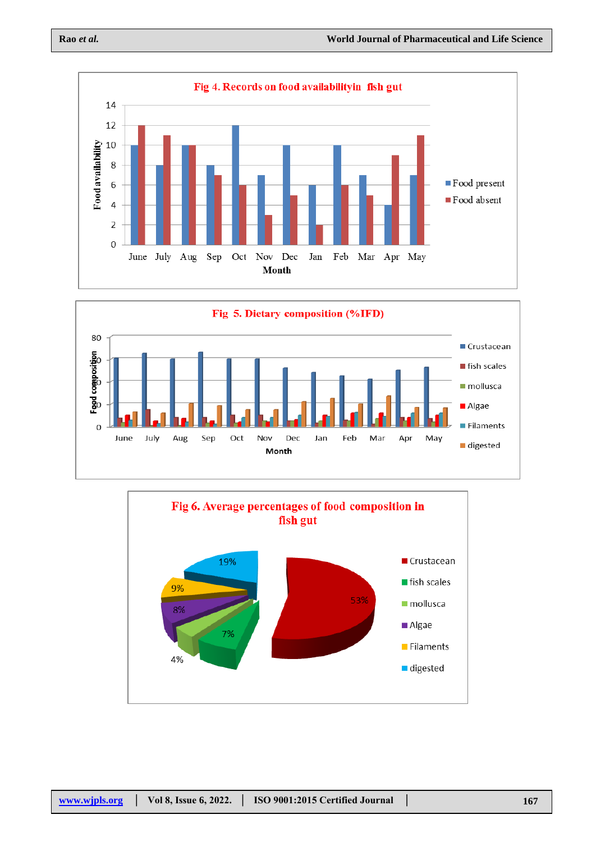



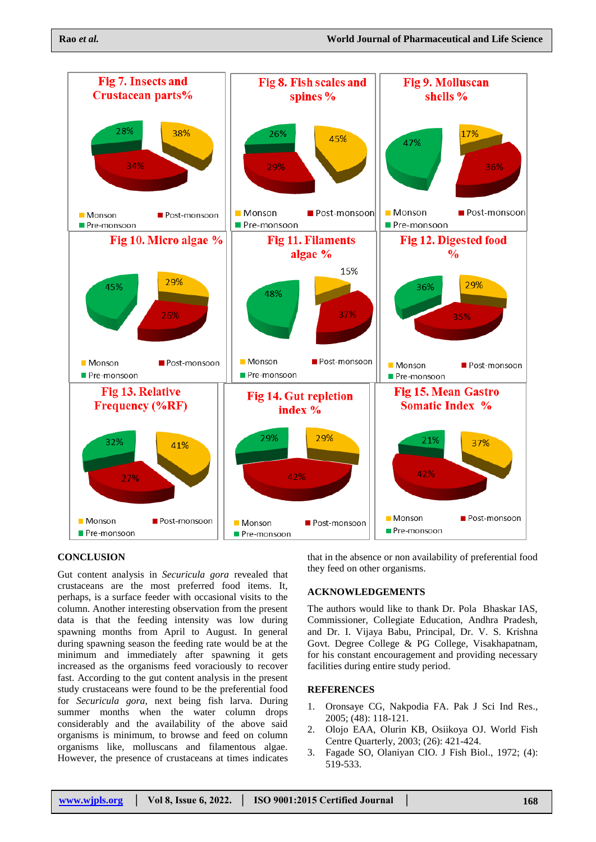

#### **CONCLUSION**

Gut content analysis in *Securicula gora* revealed that crustaceans are the most preferred food items. It, perhaps, is a surface feeder with occasional visits to the column. Another interesting observation from the present data is that the feeding intensity was low during spawning months from April to August. In general during spawning season the feeding rate would be at the minimum and immediately after spawning it gets increased as the organisms feed voraciously to recover fast. According to the gut content analysis in the present study crustaceans were found to be the preferential food for *Securicula gora*, next being fish larva. During summer months when the water column drops considerably and the availability of the above said organisms is minimum, to browse and feed on column organisms like, molluscans and filamentous algae. However, the presence of crustaceans at times indicates that in the absence or non availability of preferential food they feed on other organisms.

#### **ACKNOWLEDGEMENTS**

The authors would like to thank Dr. Pola Bhaskar IAS, Commissioner, Collegiate Education, Andhra Pradesh, and Dr. I. Vijaya Babu, Principal, Dr. V. S. Krishna Govt. Degree College & PG College, Visakhapatnam, for his constant encouragement and providing necessary facilities during entire study period.

### **REFERENCES**

- 1. Oronsaye CG, Nakpodia FA. Pak J Sci Ind Res., 2005; (48): 118-121.
- 2. Olojo EAA, Olurin KB, Osiikoya OJ. World Fish Centre Quarterly, 2003; (26): 421-424.
- 3. Fagade SO, Olaniyan CIO. J Fish Biol., 1972; (4): 519-533.